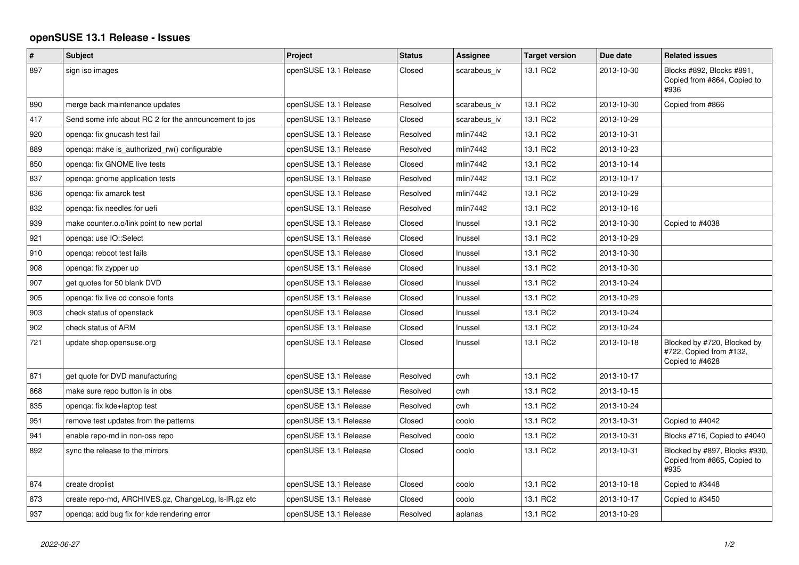## **openSUSE 13.1 Release - Issues**

| $\#$ | Subject                                               | Project               | <b>Status</b> | Assignee     | <b>Target version</b> | Due date   | <b>Related issues</b>                                                     |
|------|-------------------------------------------------------|-----------------------|---------------|--------------|-----------------------|------------|---------------------------------------------------------------------------|
| 897  | sign iso images                                       | openSUSE 13.1 Release | Closed        | scarabeus iv | 13.1 RC2              | 2013-10-30 | Blocks #892, Blocks #891,<br>Copied from #864, Copied to<br>#936          |
| 890  | merge back maintenance updates                        | openSUSE 13.1 Release | Resolved      | scarabeus iv | 13.1 RC2              | 2013-10-30 | Copied from #866                                                          |
| 417  | Send some info about RC 2 for the announcement to jos | openSUSE 13.1 Release | Closed        | scarabeus_iv | 13.1 RC2              | 2013-10-29 |                                                                           |
| 920  | openga: fix gnucash test fail                         | openSUSE 13.1 Release | Resolved      | mlin7442     | 13.1 RC2              | 2013-10-31 |                                                                           |
| 889  | openga: make is authorized rw() configurable          | openSUSE 13.1 Release | Resolved      | mlin7442     | 13.1 RC2              | 2013-10-23 |                                                                           |
| 850  | openga: fix GNOME live tests                          | openSUSE 13.1 Release | Closed        | mlin7442     | 13.1 RC2              | 2013-10-14 |                                                                           |
| 837  | openga: gnome application tests                       | openSUSE 13.1 Release | Resolved      | mlin7442     | 13.1 RC2              | 2013-10-17 |                                                                           |
| 836  | openqa: fix amarok test                               | openSUSE 13.1 Release | Resolved      | mlin7442     | 13.1 RC2              | 2013-10-29 |                                                                           |
| 832  | openga: fix needles for uefi                          | openSUSE 13.1 Release | Resolved      | mlin7442     | 13.1 RC2              | 2013-10-16 |                                                                           |
| 939  | make counter.o.o/link point to new portal             | openSUSE 13.1 Release | Closed        | Inussel      | 13.1 RC2              | 2013-10-30 | Copied to #4038                                                           |
| 921  | openga: use IO::Select                                | openSUSE 13.1 Release | Closed        | Inussel      | 13.1 RC2              | 2013-10-29 |                                                                           |
| 910  | openga: reboot test fails                             | openSUSE 13.1 Release | Closed        | Inussel      | 13.1 RC2              | 2013-10-30 |                                                                           |
| 908  | openga: fix zypper up                                 | openSUSE 13.1 Release | Closed        | Inussel      | 13.1 RC2              | 2013-10-30 |                                                                           |
| 907  | get quotes for 50 blank DVD                           | openSUSE 13.1 Release | Closed        | Inussel      | 13.1 RC2              | 2013-10-24 |                                                                           |
| 905  | openga: fix live cd console fonts                     | openSUSE 13.1 Release | Closed        | Inussel      | 13.1 RC2              | 2013-10-29 |                                                                           |
| 903  | check status of openstack                             | openSUSE 13.1 Release | Closed        | Inussel      | 13.1 RC2              | 2013-10-24 |                                                                           |
| 902  | check status of ARM                                   | openSUSE 13.1 Release | Closed        | Inussel      | 13.1 RC2              | 2013-10-24 |                                                                           |
| 721  | update shop.opensuse.org                              | openSUSE 13.1 Release | Closed        | Inussel      | 13.1 RC2              | 2013-10-18 | Blocked by #720, Blocked by<br>#722, Copied from #132,<br>Copied to #4628 |
| 871  | get quote for DVD manufacturing                       | openSUSE 13.1 Release | Resolved      | cwh          | 13.1 RC2              | 2013-10-17 |                                                                           |
| 868  | make sure repo button is in obs                       | openSUSE 13.1 Release | Resolved      | cwh          | 13.1 RC2              | 2013-10-15 |                                                                           |
| 835  | openga: fix kde+laptop test                           | openSUSE 13.1 Release | Resolved      | cwh          | 13.1 RC2              | 2013-10-24 |                                                                           |
| 951  | remove test updates from the patterns                 | openSUSE 13.1 Release | Closed        | coolo        | 13.1 RC2              | 2013-10-31 | Copied to #4042                                                           |
| 941  | enable repo-md in non-oss repo                        | openSUSE 13.1 Release | Resolved      | coolo        | 13.1 RC2              | 2013-10-31 | Blocks #716, Copied to #4040                                              |
| 892  | sync the release to the mirrors                       | openSUSE 13.1 Release | Closed        | coolo        | 13.1 RC2              | 2013-10-31 | Blocked by #897, Blocks #930,<br>Copied from #865, Copied to<br>#935      |
| 874  | create droplist                                       | openSUSE 13.1 Release | Closed        | coolo        | 13.1 RC2              | 2013-10-18 | Copied to #3448                                                           |
| 873  | create repo-md, ARCHIVES.gz, ChangeLog, Is-IR.gz etc  | openSUSE 13.1 Release | Closed        | coolo        | 13.1 RC2              | 2013-10-17 | Copied to #3450                                                           |
| 937  | openga: add bug fix for kde rendering error           | openSUSE 13.1 Release | Resolved      | aplanas      | 13.1 RC2              | 2013-10-29 |                                                                           |